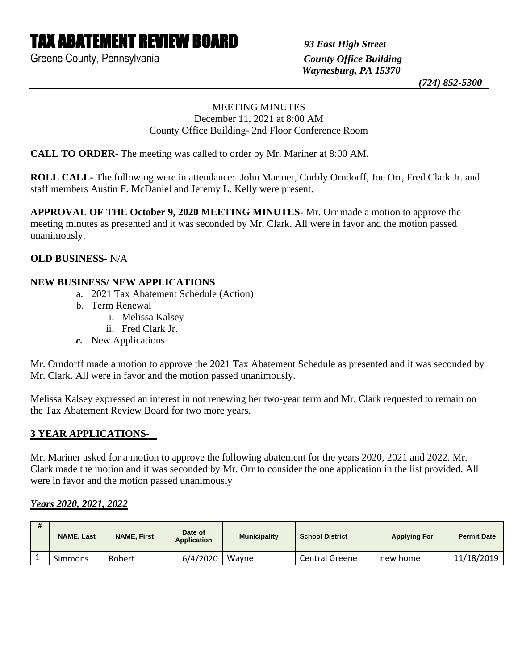# TAX ABATEMENT REVIEW BOARD *93 East High Street*

Greene County, Pennsylvania *County Office Building*

 *Waynesburg, PA 15370*

 *(724) 852-5300*

### MEETING MINUTES December 11, 2021 at 8:00 AM County Office Building- 2nd Floor Conference Room

**CALL TO ORDER-** The meeting was called to order by Mr. Mariner at 8:00 AM.

**ROLL CALL-** The following were in attendance: John Mariner, Corbly Orndorff, Joe Orr, Fred Clark Jr. and staff members Austin F. McDaniel and Jeremy L. Kelly were present.

**APPROVAL OF THE October 9, 2020 MEETING MINUTES**- Mr. Orr made a motion to approve the meeting minutes as presented and it was seconded by Mr. Clark. All were in favor and the motion passed unanimously.

### **OLD BUSINESS-** N/A

### **NEW BUSINESS/ NEW APPLICATIONS**

- a. 2021 Tax Abatement Schedule (Action)
- b. Term Renewal
	- i. Melissa Kalsey
	- ii. Fred Clark Jr.
- *c.* New Applications

Mr. Orndorff made a motion to approve the 2021 Tax Abatement Schedule as presented and it was seconded by Mr. Clark. All were in favor and the motion passed unanimously.

Melissa Kalsey expressed an interest in not renewing her two-year term and Mr. Clark requested to remain on the Tax Abatement Review Board for two more years.

## **3 YEAR APPLICATIONS-**

Mr. Mariner asked for a motion to approve the following abatement for the years 2020, 2021 and 2022. Mr. Clark made the motion and it was seconded by Mr. Orr to consider the one application in the list provided. All were in favor and the motion passed unanimously

## *Years 2020, 2021, 2022*

| <b>NAME, Last</b> | <b>NAME, First</b> | Date of<br><b>Application</b> | <b>Municipality</b> | <b>School District</b> | <b>Applying For</b> | <b>Permit Date</b> |
|-------------------|--------------------|-------------------------------|---------------------|------------------------|---------------------|--------------------|
| Simmons           | Robert             | 6/4/2020                      | Wayne               | Central Greene         | new home            | 11/18/2019         |